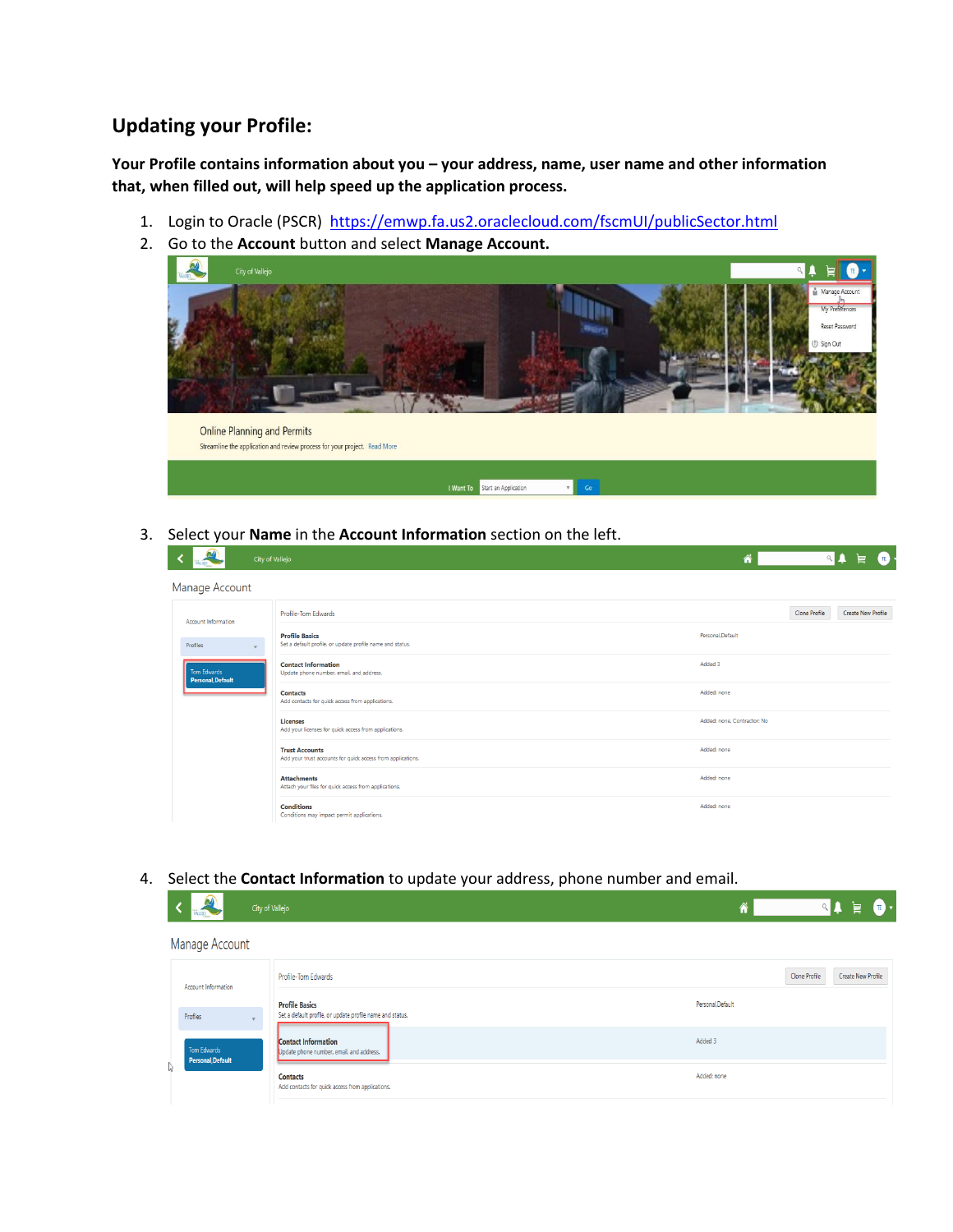## **Updating your Profile:**

**Your Profile contains information about you – your address, name, user name and other information that, when filled out, will help speed up the application process.**

- 1. Login to Oracle (PSCR) <https://emwp.fa.us2.oraclecloud.com/fscmUI/publicSector.html>
- 2. Go to the **Account** button and select **Manage Account.**



3. Select your **Name** in the **Account Information** section on the left.

|                                  | City of Vallejo                                                                                                | $\bullet$<br>╞<br>m                 |
|----------------------------------|----------------------------------------------------------------------------------------------------------------|-------------------------------------|
| Manage Account                   |                                                                                                                |                                     |
| Account Information              | Profile-Tom Edwards                                                                                            | Clone Profile<br>Create New Profile |
| Profiles                         | <b>Profile Basics</b><br>Set a default profile, or update profile name and status.<br>$\overline{\phantom{a}}$ | Personal.Default                    |
| Tom Edwards<br>Personal, Default | <b>Contact Information</b><br>Update phone number, email, and address.                                         | Added 3                             |
|                                  | <b>Contacts</b><br>Add contacts for quick access from applications.                                            | Added: none                         |
|                                  | <b>Licenses</b><br>Add your licenses for quick access from applications.                                       | Added: none, Contractor: No.        |
|                                  | <b>Trust Accounts</b><br>Add your trust accounts for quick access from applications.                           | Added: none                         |
|                                  | <b>Attachments</b><br>Attach your files for quick access from applications.                                    | Added: none                         |
|                                  | <b>Conditions</b><br>Conditions may impact permit applications.                                                | Added: none                         |

## 4. Select the **Contact Information** to update your address, phone number and email.

| <b>a</b><br>WILED.               | City of Vallejo                                                                    | $\mathbf{r}$<br>Ħ                   |
|----------------------------------|------------------------------------------------------------------------------------|-------------------------------------|
| Manage Account                   |                                                                                    |                                     |
| Account Information              | Profile-Tom Edwards                                                                | Clone Profile<br>Create New Profile |
| Profiles                         | <b>Profile Basics</b><br>Set a default profile, or update profile name and status. | Personal.Default                    |
| Tom Edwards<br>Personal, Default | Contact Information<br>Update phone number, email, and address.                    | Added 3                             |
|                                  | <b>Contacts</b><br>Add contacts for quick access from applications.                | Added: none                         |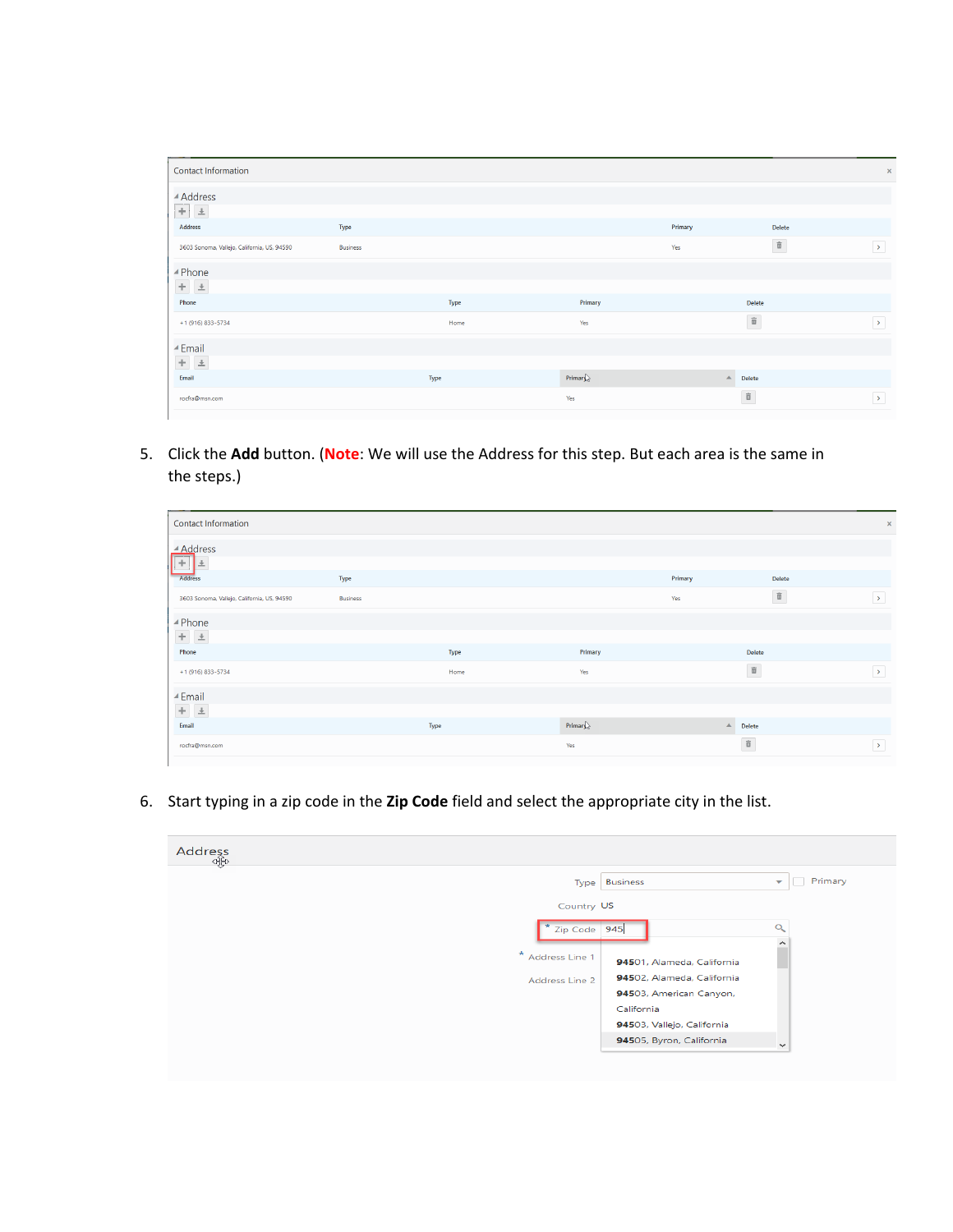| <b>Contact Information</b>                  |                 |      |                                            |                  |                        | $\times$              |
|---------------------------------------------|-----------------|------|--------------------------------------------|------------------|------------------------|-----------------------|
| ▲ Address                                   |                 |      |                                            |                  |                        |                       |
| $+ 1$<br>Address                            | Type            |      |                                            | Primary          | Delete                 |                       |
|                                             |                 |      |                                            |                  | $\widehat{\mathbb{U}}$ |                       |
| 3603 Sonoma, Vallejo, California, US, 94590 | <b>Business</b> |      |                                            | Yes              |                        | $\rightarrow$         |
| ▲ Phone                                     |                 |      |                                            |                  |                        |                       |
| $+$ $\pm$                                   |                 |      |                                            |                  |                        |                       |
| Phone                                       |                 | Type | Primary                                    |                  | <b>Delete</b>          |                       |
| +1 (916) 833-5734                           |                 | Home | Yes                                        |                  | $\widehat{\mathbf{u}}$ | $\rightarrow$         |
| ⊿ Email                                     |                 |      |                                            |                  |                        |                       |
| $+$ $\pm$                                   |                 |      |                                            |                  |                        |                       |
| Email                                       |                 | Type | Primary $\left\langle \cdot \right\rangle$ | $\blacktriangle$ | Delete                 |                       |
| rocfra@msn.com                              |                 |      | Yes                                        |                  | $\widehat{\mathbb{u}}$ | $\blacktriangleright$ |
|                                             |                 |      |                                            |                  |                        |                       |

5. Click the **Add** button. (**Note**: We will use the Address for this step. But each area is the same in the steps.)

| Contact Information                         |                 |      |            |          |                        | $\mathsf{x}$  |
|---------------------------------------------|-----------------|------|------------|----------|------------------------|---------------|
| ▲ Address                                   |                 |      |            |          |                        |               |
| ÷<br>Address                                | Type            |      |            | Primary  | Delete                 |               |
|                                             |                 |      |            |          |                        |               |
| 3603 Sonoma, Vallejo, California, US, 94590 | <b>Business</b> |      |            | Yes      | $\widehat{\mathbb{U}}$ | $\rightarrow$ |
| ▲ Phone                                     |                 |      |            |          |                        |               |
| $+$ $\,$ $\pm$                              |                 |      |            |          |                        |               |
| Phone                                       |                 | Type | Primary    |          | Delete                 |               |
| +1 (916) 833-5734                           |                 | Home | Yes        |          | $\widehat{\mathbb{U}}$ | $\rightarrow$ |
| ▲ Email                                     |                 |      |            |          |                        |               |
| $+ \quad \underline{\ast}$                  |                 |      |            |          |                        |               |
| Email                                       |                 | Type | $Primar \$ | $\Delta$ | Delete                 |               |
| rocfra@msn.com                              |                 |      | Yes        |          | $\widehat{\mathbb{u}}$ | $\rightarrow$ |
|                                             |                 |      |            |          |                        |               |

6. Start typing in a zip code in the **Zip Code** field and select the appropriate city in the list.

| Address<br>ﷺ |                                                         |                                     |
|--------------|---------------------------------------------------------|-------------------------------------|
|              | Type Business                                           | Primary<br>$\overline{\phantom{a}}$ |
|              | Country US                                              |                                     |
|              | * Zip Code 945                                          | $\circ$                             |
|              | $\star$<br>Address Line 1<br>94501, Alameda, California | ́                                   |
|              | 94502, Alameda, California<br>Address Line 2            |                                     |
|              | 94503, American Canyon,                                 |                                     |
|              | California                                              |                                     |
|              | 94503, Vallejo, California                              |                                     |
|              | 94505, Byron, California                                | $\checkmark$                        |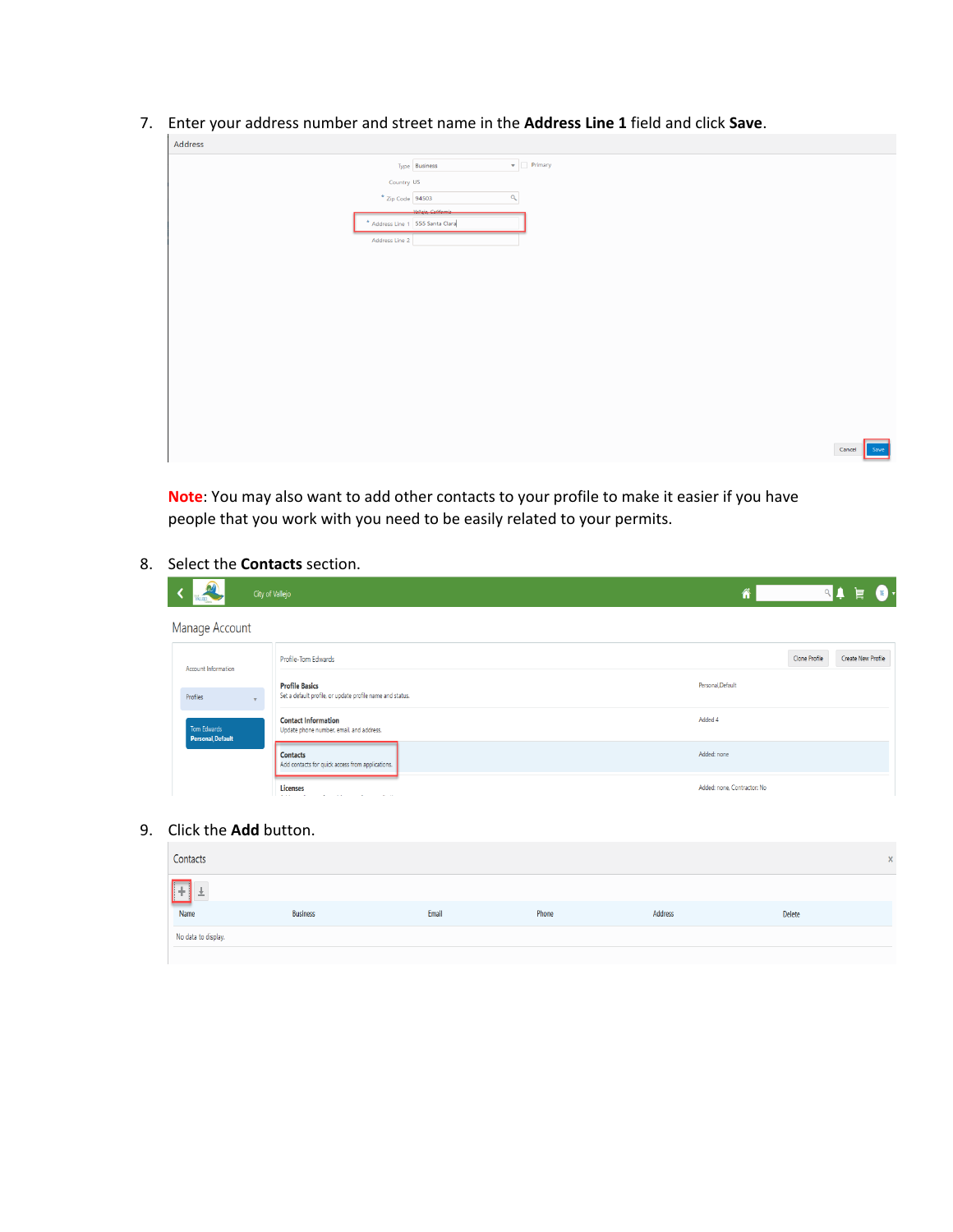7. Enter your address number and street name in the **Address Line 1** field and click **Save**.

| Address                |                                               |
|------------------------|-----------------------------------------------|
|                        | $\blacktriangledown$ Primary<br>Type Business |
| Country US             |                                               |
| $\star$ Zip Code 94503 | $\mathbf{Q}_\mathrm{c}$                       |
|                        | -Vollojo, Colifornia                          |
|                        | * Address Line 1 555 Santa Clara              |
| Address Line 2         |                                               |
|                        |                                               |
|                        |                                               |
|                        |                                               |
|                        |                                               |
|                        |                                               |
|                        |                                               |
|                        |                                               |
|                        |                                               |
|                        |                                               |
|                        |                                               |
|                        |                                               |
|                        |                                               |
|                        |                                               |
|                        | Save<br>Cancel                                |
|                        |                                               |
|                        |                                               |

**Note**: You may also want to add other contacts to your profile to make it easier if you have people that you work with you need to be easily related to your permits.

## 8. Select the **Contacts** section.

|                                  | City of Vallejo                                                                    | $\mathbb{Q}$<br>$\mathbf{E}$<br>旨   |
|----------------------------------|------------------------------------------------------------------------------------|-------------------------------------|
| Manage Account                   |                                                                                    |                                     |
| Account Information              | Profile-Tom Edwards                                                                | Clone Profile<br>Create New Profile |
| Profiles                         | <b>Profile Basics</b><br>Set a default profile, or update profile name and status. | Personal.Default                    |
| Tom Edwards<br>Personal, Default | <b>Contact Information</b><br>Update phone number, email, and address.             | Added 4                             |
|                                  | <b>Contacts</b><br>Add contacts for quick access from applications.                | Added: none                         |
|                                  | Licenses                                                                           | Added: none, Contractor: No         |

## 9. Click the **Add** button.

| Contacts            |                 |       |       |                |               |  |
|---------------------|-----------------|-------|-------|----------------|---------------|--|
|                     |                 |       |       |                |               |  |
| Name                | <b>Business</b> | Email | Phone | <b>Address</b> | <b>Delete</b> |  |
| No data to display. |                 |       |       |                |               |  |
|                     |                 |       |       |                |               |  |